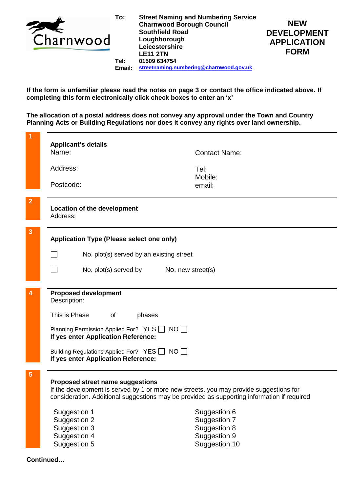

**Tel: Email: Street Naming and Numbering Service Charnwood Borough Council Southfield Road Loughborough Leicestershire LE11 2TN 01509 634754 [streetnaming.numbering@charnwood.gov.uk](mailto:streetnaming.numbering@charnwood.gov.uk)**



**If the form is unfamiliar please read the notes on page 3 or contact the office indicated above. If completing this form electronically click check boxes to enter an 'x'**

**The allocation of a postal address does not convey any approval under the Town and Country Planning Acts or Building Regulations nor does it convey any rights over land ownership.**

|                | <b>Applicant's details</b>                                                                                                                                                                                                |                                           |                               |  |  |
|----------------|---------------------------------------------------------------------------------------------------------------------------------------------------------------------------------------------------------------------------|-------------------------------------------|-------------------------------|--|--|
|                | Name:                                                                                                                                                                                                                     |                                           | <b>Contact Name:</b>          |  |  |
|                |                                                                                                                                                                                                                           |                                           |                               |  |  |
|                | Address:                                                                                                                                                                                                                  |                                           | Tel:                          |  |  |
|                |                                                                                                                                                                                                                           |                                           | Mobile:                       |  |  |
|                | Postcode:                                                                                                                                                                                                                 |                                           | email:                        |  |  |
| $\overline{2}$ | <b>Location of the development</b><br>Address:                                                                                                                                                                            |                                           |                               |  |  |
|                |                                                                                                                                                                                                                           |                                           |                               |  |  |
|                |                                                                                                                                                                                                                           |                                           |                               |  |  |
| 3              |                                                                                                                                                                                                                           |                                           |                               |  |  |
|                |                                                                                                                                                                                                                           | Application Type (Please select one only) |                               |  |  |
|                | No. plot(s) served by an existing street                                                                                                                                                                                  |                                           |                               |  |  |
|                |                                                                                                                                                                                                                           |                                           |                               |  |  |
|                |                                                                                                                                                                                                                           | No. plot(s) served by No. new street(s)   |                               |  |  |
|                |                                                                                                                                                                                                                           |                                           |                               |  |  |
|                | <b>Proposed development</b>                                                                                                                                                                                               |                                           |                               |  |  |
|                | Description:                                                                                                                                                                                                              |                                           |                               |  |  |
|                |                                                                                                                                                                                                                           |                                           |                               |  |  |
|                | This is Phase                                                                                                                                                                                                             | of<br>phases                              |                               |  |  |
|                | Planning Permission Applied For? YES   NO<br>If yes enter Application Reference:                                                                                                                                          |                                           |                               |  |  |
|                |                                                                                                                                                                                                                           |                                           |                               |  |  |
|                |                                                                                                                                                                                                                           |                                           |                               |  |  |
|                | Building Regulations Applied For? YES NO<br>If yes enter Application Reference:                                                                                                                                           |                                           |                               |  |  |
|                |                                                                                                                                                                                                                           |                                           |                               |  |  |
| 5              |                                                                                                                                                                                                                           |                                           |                               |  |  |
|                | Proposed street name suggestions<br>If the development is served by 1 or more new streets, you may provide suggestions for<br>consideration. Additional suggestions may be provided as supporting information if required |                                           |                               |  |  |
|                |                                                                                                                                                                                                                           |                                           |                               |  |  |
|                |                                                                                                                                                                                                                           |                                           |                               |  |  |
|                | Suggestion 1                                                                                                                                                                                                              |                                           | Suggestion 6                  |  |  |
|                | Suggestion 2                                                                                                                                                                                                              |                                           | Suggestion 7                  |  |  |
|                | Suggestion 3                                                                                                                                                                                                              |                                           | Suggestion 8                  |  |  |
|                | Suggestion 4<br>Suggestion 5                                                                                                                                                                                              |                                           | Suggestion 9<br>Suggestion 10 |  |  |
|                |                                                                                                                                                                                                                           |                                           |                               |  |  |
|                | Continued                                                                                                                                                                                                                 |                                           |                               |  |  |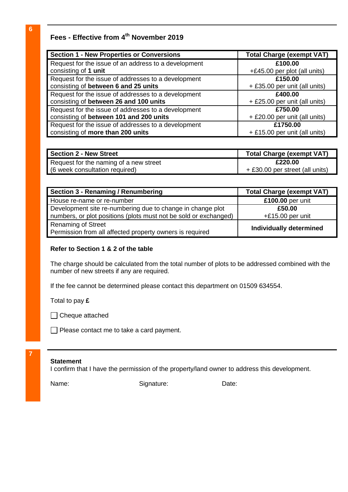# **Fees - Effective from 4 th November 2019**

| <b>Section 1 - New Properties or Conversions</b>     | <b>Total Charge (exempt VAT)</b> |
|------------------------------------------------------|----------------------------------|
| Request for the issue of an address to a development | £100.00                          |
| consisting of 1 unit                                 | +£45.00 per plot (all units)     |
| Request for the issue of addresses to a development  | £150.00                          |
| consisting of between 6 and 25 units                 | + £35.00 per unit (all units)    |
| Request for the issue of addresses to a development  | £400.00                          |
| consisting of between 26 and 100 units               | + £25.00 per unit (all units)    |
| Request for the issue of addresses to a development  | £750.00                          |
| consisting of between 101 and 200 units              | + £20.00 per unit (all units)    |
| Request for the issue of addresses to a development  | £1750.00                         |
| consisting of more than 200 units                    | + £15.00 per unit (all units)    |

| <b>Section 2 - New Street</b>          | <b>Total Charge (exempt VAT)</b> |
|----------------------------------------|----------------------------------|
| Request for the naming of a new street | £220.00                          |
| (6 week consultation required)         | + £30.00 per street (all units)  |

| Section 3 - Renaming / Renumbering                                                    | <b>Total Charge (exempt VAT)</b> |
|---------------------------------------------------------------------------------------|----------------------------------|
| House re-name or re-number                                                            | £100.00 per unit                 |
| Development site re-numbering due to change in change plot                            | £50.00                           |
| numbers, or plot positions (plots must not be sold or exchanged)                      | $+£15.00$ per unit               |
| <b>Renaming of Street</b><br>Permission from all affected property owners is required | <b>Individually determined</b>   |

### **Refer to Section 1 & 2 of the table**

The charge should be calculated from the total number of plots to be addressed combined with the number of new streets if any are required.

If the fee cannot be determined please contact this department on 01509 634554.

Total to pay **£**

□ Cheque attached

Please contact me to take a card payment.

#### **Statement**

**7**

I confirm that I have the permission of the property/land owner to address this development.

Name: Signature: Date: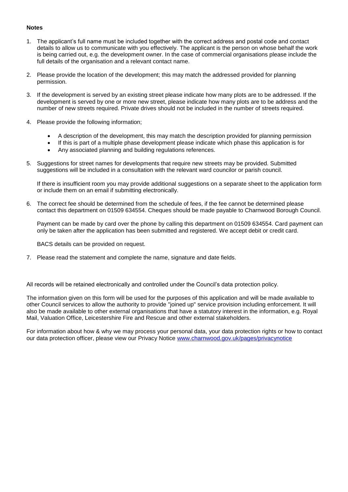#### **Notes**

- 1. The applicant's full name must be included together with the correct address and postal code and contact details to allow us to communicate with you effectively. The applicant is the person on whose behalf the work is being carried out, e.g. the development owner. In the case of commercial organisations please include the full details of the organisation and a relevant contact name.
- 2. Please provide the location of the development; this may match the addressed provided for planning permission.
- 3. If the development is served by an existing street please indicate how many plots are to be addressed. If the development is served by one or more new street, please indicate how many plots are to be address and the number of new streets required. Private drives should not be included in the number of streets required.
- 4. Please provide the following information;
	- A description of the development, this may match the description provided for planning permission
	- If this is part of a multiple phase development please indicate which phase this application is for
	- Any associated planning and building regulations references.
- 5. Suggestions for street names for developments that require new streets may be provided. Submitted suggestions will be included in a consultation with the relevant ward councilor or parish council.

If there is insufficient room you may provide additional suggestions on a separate sheet to the application form or include them on an email if submitting electronically.

6. The correct fee should be determined from the schedule of fees, if the fee cannot be determined please contact this department on 01509 634554. Cheques should be made payable to Charnwood Borough Council.

Payment can be made by card over the phone by calling this department on 01509 634554. Card payment can only be taken after the application has been submitted and registered. We accept debit or credit card.

BACS details can be provided on request.

7. Please read the statement and complete the name, signature and date fields.

All records will be retained electronically and controlled under the Council's data protection policy.

The information given on this form will be used for the purposes of this application and will be made available to other Council services to allow the authority to provide "joined up" service provision including enforcement. It will also be made available to other external organisations that have a statutory interest in the information, e.g. Royal Mail, Valuation Office, Leicestershire Fire and Rescue and other external stakeholders.

For information about how & why we may process your personal data, your data protection rights or how to contact our data protection officer, please view our Privacy Notice [www.charnwood.gov.uk/pages/privacynotice](http://www.charnwood.gov.uk/pages/privacynotice)